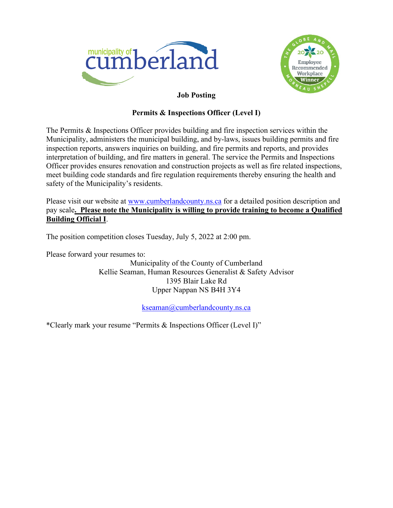



# **Job Posting**

# **Permits & Inspections Officer (Level I)**

The Permits & Inspections Officer provides building and fire inspection services within the Municipality, administers the municipal building, and by-laws, issues building permits and fire inspection reports, answers inquiries on building, and fire permits and reports, and provides interpretation of building, and fire matters in general. The service the Permits and Inspections Officer provides ensures renovation and construction projects as well as fire related inspections, meet building code standards and fire regulation requirements thereby ensuring the health and safety of the Municipality's residents.

Please visit our website at [www.cumberlandcounty.ns.ca](http://www.cumberlandcounty.ns.ca/) for a detailed position description and pay scale**. Please note the Municipality is willing to provide training to become a Qualified Building Official I**.

The position competition closes Tuesday, July 5, 2022 at 2:00 pm.

Please forward your resumes to:

Municipality of the County of Cumberland Kellie Seaman, Human Resources Generalist & Safety Advisor 1395 Blair Lake Rd Upper Nappan NS B4H 3Y4

[kseaman@cumberlandcounty.ns.ca](mailto:kseaman@cumberlandcounty.ns.ca)

\*Clearly mark your resume "Permits & Inspections Officer (Level I)"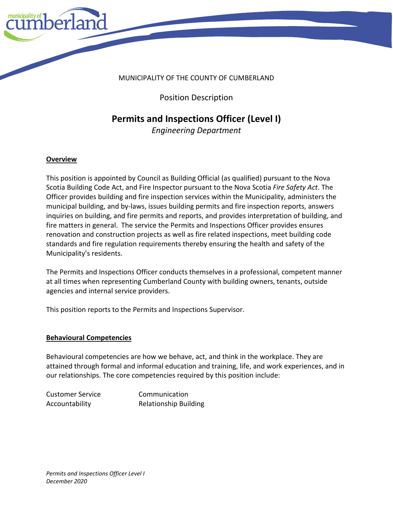

Position Description

# **Permits and Inspections Officer (Level I)**

*Engineering Department*

#### **Overview**

This position is appointed by Council as Building Official (as qualified) pursuant to the Nova Scotia Building Code Act, and Fire Inspector pursuant to the Nova Scotia *Fire Safety Act*. The Officer provides building and fire inspection services within the Municipality, administers the municipal building, and by-laws, issues building permits and fire inspection reports, answers inquiries on building, and fire permits and reports, and provides interpretation of building, and fire matters in general. The service the Permits and Inspections Officer provides ensures renovation and construction projects as well as fire related inspections, meet building code standards and fire regulation requirements thereby ensuring the health and safety of the Municipality's residents.

The Permits and Inspections Officer conducts themselves in a professional, competent manner at all times when representing Cumberland County with building owners, tenants, outside agencies and internal service providers.

This position reports to the Permits and Inspections Supervisor.

#### **Behavioural Competencies**

Behavioural competencies are how we behave, act, and think in the workplace. They are attained through formal and informal education and training, life, and work experiences, and in our relationships. The core competencies required by this position include:

Customer Service Communication

Accountability Relationship Building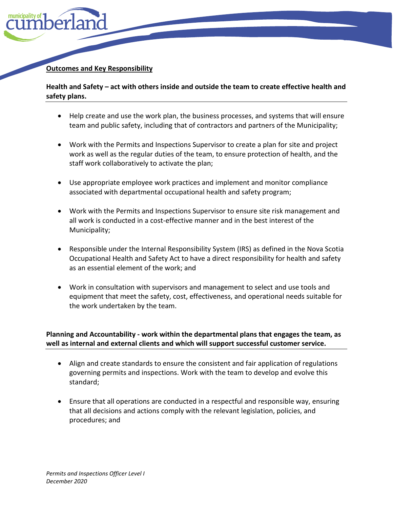

## **Outcomes and Key Responsibility**

**Health and Safety – act with others inside and outside the team to create effective health and safety plans.** 

- Help create and use the work plan, the business processes, and systems that will ensure team and public safety, including that of contractors and partners of the Municipality;
- Work with the Permits and Inspections Supervisor to create a plan for site and project work as well as the regular duties of the team, to ensure protection of health, and the staff work collaboratively to activate the plan;
- Use appropriate employee work practices and implement and monitor compliance associated with departmental occupational health and safety program;
- Work with the Permits and Inspections Supervisor to ensure site risk management and all work is conducted in a cost-effective manner and in the best interest of the Municipality;
- Responsible under the Internal Responsibility System (IRS) as defined in the Nova Scotia Occupational Health and Safety Act to have a direct responsibility for health and safety as an essential element of the work; and
- Work in consultation with supervisors and management to select and use tools and equipment that meet the safety, cost, effectiveness, and operational needs suitable for the work undertaken by the team.

## **Planning and Accountability - work within the departmental plans that engages the team, as well as internal and external clients and which will support successful customer service.**

- Align and create standards to ensure the consistent and fair application of regulations governing permits and inspections. Work with the team to develop and evolve this standard;
- Ensure that all operations are conducted in a respectful and responsible way, ensuring that all decisions and actions comply with the relevant legislation, policies, and procedures; and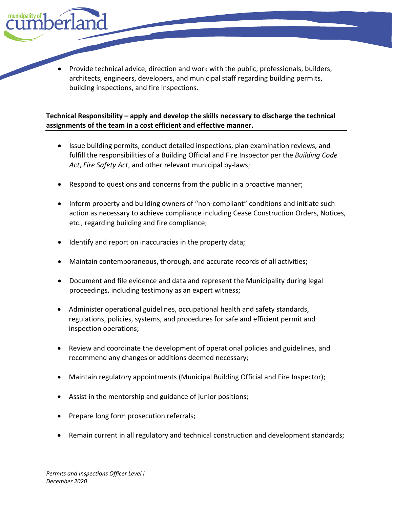• Provide technical advice, direction and work with the public, professionals, builders, architects, engineers, developers, and municipal staff regarding building permits, building inspections, and fire inspections.

## **Technical Responsibility – apply and develop the skills necessary to discharge the technical assignments of the team in a cost efficient and effective manner.**

- Issue building permits, conduct detailed inspections, plan examination reviews, and fulfill the responsibilities of a Building Official and Fire Inspector per the *Building Code Act*, *Fire Safety Act*, and other relevant municipal by-laws;
- Respond to questions and concerns from the public in a proactive manner;
- Inform property and building owners of "non-compliant" conditions and initiate such action as necessary to achieve compliance including Cease Construction Orders, Notices, etc., regarding building and fire compliance;
- Identify and report on inaccuracies in the property data;
- Maintain contemporaneous, thorough, and accurate records of all activities;
- Document and file evidence and data and represent the Municipality during legal proceedings, including testimony as an expert witness;
- Administer operational guidelines, occupational health and safety standards, regulations, policies, systems, and procedures for safe and efficient permit and inspection operations;
- Review and coordinate the development of operational policies and guidelines, and recommend any changes or additions deemed necessary;
- Maintain regulatory appointments (Municipal Building Official and Fire Inspector);
- Assist in the mentorship and guidance of junior positions;
- Prepare long form prosecution referrals;
- Remain current in all regulatory and technical construction and development standards;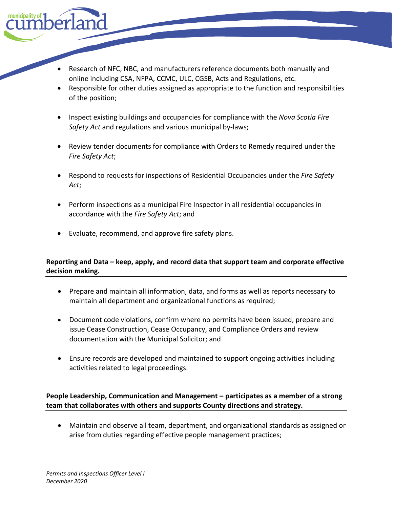

- Responsible for other duties assigned as appropriate to the function and responsibilities of the position;
- Inspect existing buildings and occupancies for compliance with the *Nova Scotia Fire Safety Act* and regulations and various municipal by-laws;
- Review tender documents for compliance with Orders to Remedy required under the *Fire Safety Act*;
- Respond to requests for inspections of Residential Occupancies under the *Fire Safety Act*;
- Perform inspections as a municipal Fire Inspector in all residential occupancies in accordance with the *Fire Safety Act*; and
- Evaluate, recommend, and approve fire safety plans.

# **Reporting and Data – keep, apply, and record data that support team and corporate effective decision making.**

- Prepare and maintain all information, data, and forms as well as reports necessary to maintain all department and organizational functions as required;
- Document code violations, confirm where no permits have been issued, prepare and issue Cease Construction, Cease Occupancy, and Compliance Orders and review documentation with the Municipal Solicitor; and
- Ensure records are developed and maintained to support ongoing activities including activities related to legal proceedings.

# **People Leadership, Communication and Management – participates as a member of a strong team that collaborates with others and supports County directions and strategy.**

• Maintain and observe all team, department, and organizational standards as assigned or arise from duties regarding effective people management practices;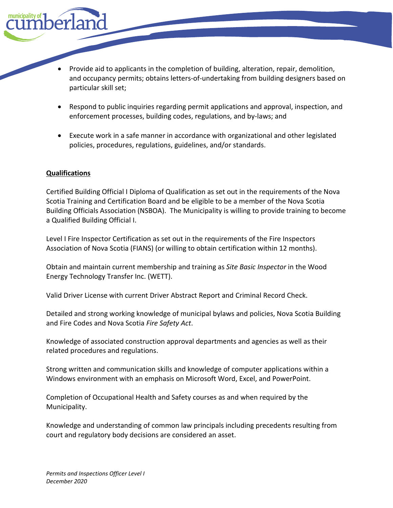- Provide aid to applicants in the completion of building, alteration, repair, demolition, and occupancy permits; obtains letters-of-undertaking from building designers based on particular skill set;
- Respond to public inquiries regarding permit applications and approval, inspection, and enforcement processes, building codes, regulations, and by-laws; and
- Execute work in a safe manner in accordance with organizational and other legislated policies, procedures, regulations, guidelines, and/or standards.

#### **Qualifications**

Certified Building Official I Diploma of Qualification as set out in the requirements of the Nova Scotia Training and Certification Board and be eligible to be a member of the Nova Scotia Building Officials Association (NSBOA). The Municipality is willing to provide training to become a Qualified Building Official I.

Level I Fire Inspector Certification as set out in the requirements of the Fire Inspectors Association of Nova Scotia (FIANS) (or willing to obtain certification within 12 months).

Obtain and maintain current membership and training as *Site Basic Inspector* in the Wood Energy Technology Transfer Inc. (WETT).

Valid Driver License with current Driver Abstract Report and Criminal Record Check.

Detailed and strong working knowledge of municipal bylaws and policies, Nova Scotia Building and Fire Codes and Nova Scotia *Fire Safety Act*.

Knowledge of associated construction approval departments and agencies as well as their related procedures and regulations.

Strong written and communication skills and knowledge of computer applications within a Windows environment with an emphasis on Microsoft Word, Excel, and PowerPoint.

Completion of Occupational Health and Safety courses as and when required by the Municipality.

Knowledge and understanding of common law principals including precedents resulting from court and regulatory body decisions are considered an asset.